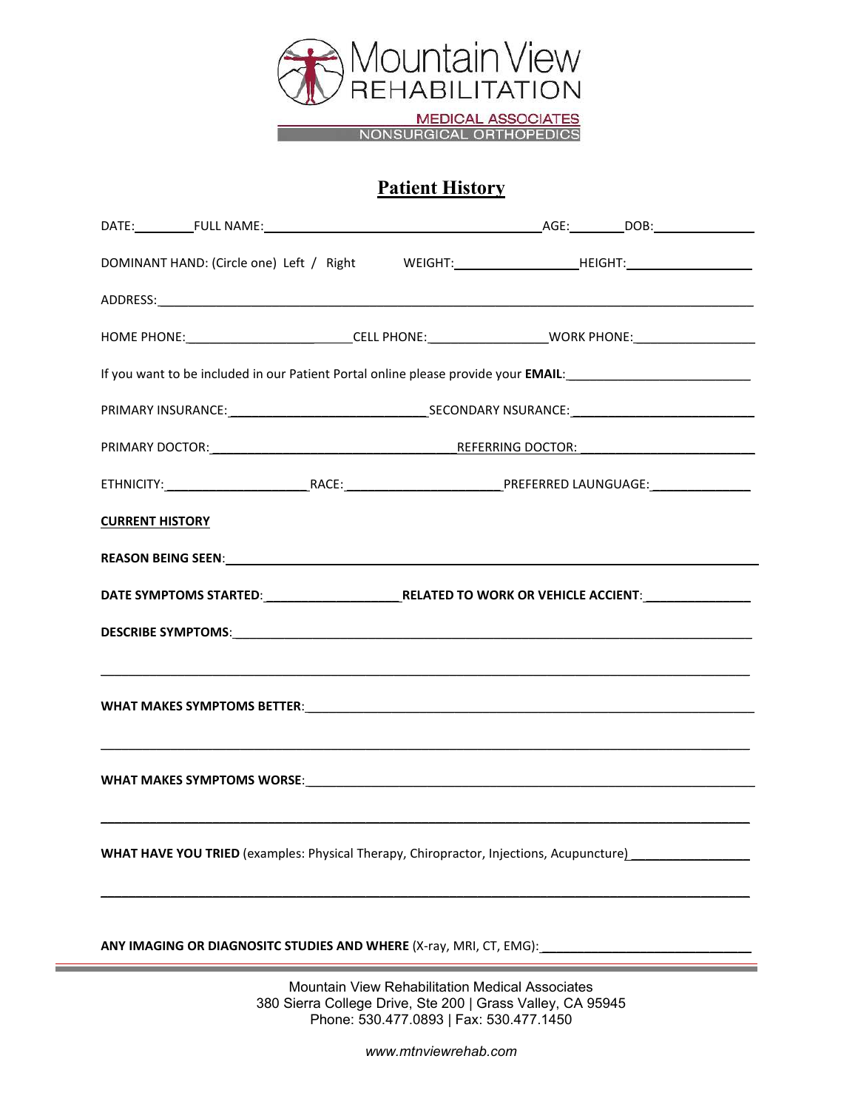

MEDICAL ASSOCIATES<br>NONSURGICAL ORTHOPEDICS

## **Patient History**

| DOMINANT HAND: (Circle one) Left / Right WEIGHT:______________________HEIGHT:______________________            |  |  |                                                 |  |
|----------------------------------------------------------------------------------------------------------------|--|--|-------------------------------------------------|--|
| ADDRESS: And All And All And All And All And All And All And All And All And All And All And All And All And A |  |  |                                                 |  |
| HOME PHONE: ____________________________CELL PHONE: _______________________WORK PHONE: ______________________  |  |  |                                                 |  |
|                                                                                                                |  |  |                                                 |  |
|                                                                                                                |  |  |                                                 |  |
| PRIMARY DOCTOR: NETERRING DOCTOR: NEERRING DOCTOR:                                                             |  |  |                                                 |  |
|                                                                                                                |  |  |                                                 |  |
| <b>CURRENT HISTORY</b>                                                                                         |  |  |                                                 |  |
|                                                                                                                |  |  |                                                 |  |
| DATE SYMPTOMS STARTED:____________________________RELATED TO WORK OR VEHICLE ACCIENT:_______________           |  |  |                                                 |  |
|                                                                                                                |  |  |                                                 |  |
|                                                                                                                |  |  |                                                 |  |
| WHAT MAKES SYMPTOMS WORSE: UNIVERSITY OF A SERVICE OF A STATE OF A STATE OF A STATE OF A STATE OF A STATE OF A |  |  |                                                 |  |
| WHAT HAVE YOU TRIED (examples: Physical Therapy, Chiropractor, Injections, Acupuncture)                        |  |  |                                                 |  |
| ANY IMAGING OR DIAGNOSITC STUDIES AND WHERE (X-ray, MRI, CT, EMG): ________________________________            |  |  |                                                 |  |
|                                                                                                                |  |  | Mountain View Rehabilitation Medical Associates |  |

Mountain View Rehabilitation Medical Associates 380 Sierra College Drive, Ste 200 | Grass Valley, CA 95945 Phone: 530.477.0893 | Fax: 530.477.1450

*www.mtnviewrehab.com*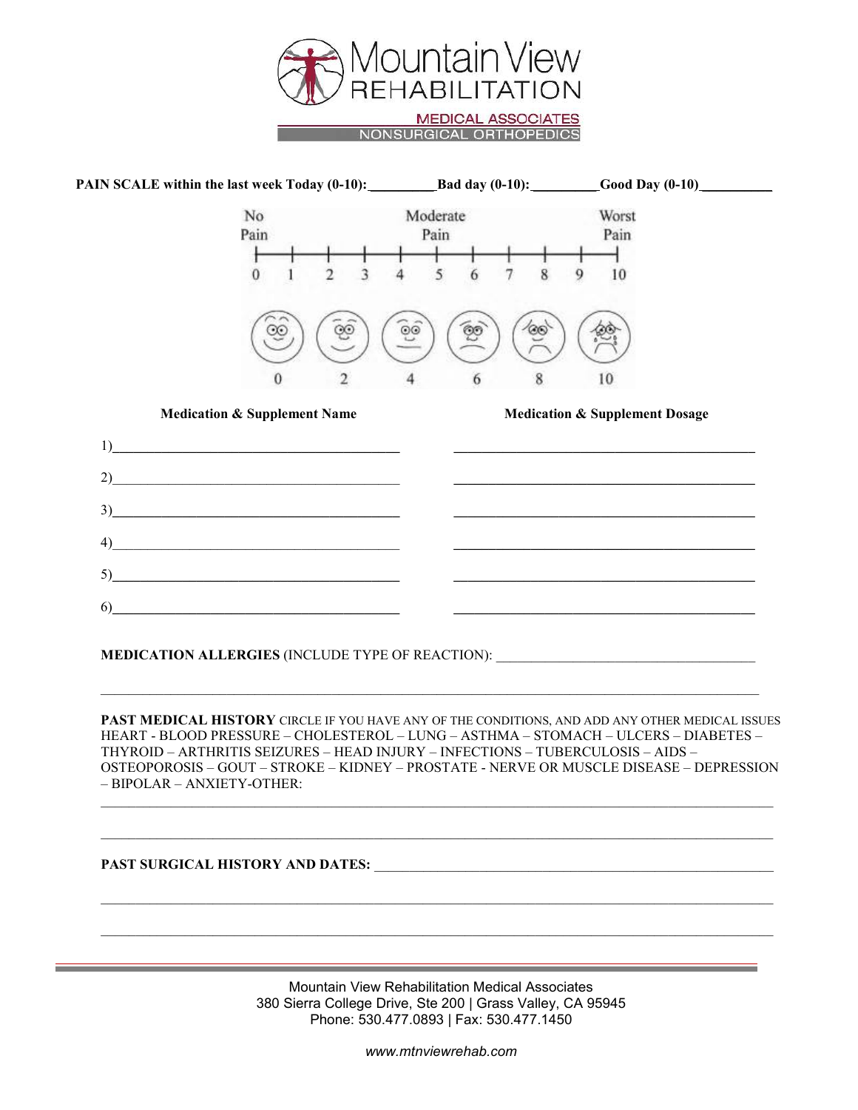



**PAST MEDICAL HISTORY** CIRCLE IF YOU HAVE ANY OF THE CONDITIONS, AND ADD ANY OTHER MEDICAL ISSUES HEART - BLOOD PRESSURE – CHOLESTEROL – LUNG – ASTHMA – STOMACH – ULCERS – DIABETES – THYROID – ARTHRITIS SEIZURES – HEAD INJURY – INFECTIONS – TUBERCULOSIS – AIDS – OSTEOPOROSIS – GOUT – STROKE – KIDNEY – PROSTATE - NERVE OR MUSCLE DISEASE – DEPRESSION – BIPOLAR – ANXIETY-OTHER:

\_\_\_\_\_\_\_\_\_\_\_\_\_\_\_\_\_\_\_\_\_\_\_\_\_\_\_\_\_\_\_\_\_\_\_\_\_\_\_\_\_\_\_\_\_\_\_\_\_\_\_\_\_\_\_\_\_\_\_\_\_\_\_\_\_\_\_\_\_\_\_\_\_\_\_\_\_\_\_\_\_\_\_\_\_\_\_\_\_\_\_\_\_\_\_\_

\_\_\_\_\_\_\_\_\_\_\_\_\_\_\_\_\_\_\_\_\_\_\_\_\_\_\_\_\_\_\_\_\_\_\_\_\_\_\_\_\_\_\_\_\_\_\_\_\_\_\_\_\_\_\_\_\_\_\_\_\_\_\_\_\_\_\_\_\_\_\_\_\_\_\_\_\_\_\_\_\_\_\_\_\_\_\_\_\_\_\_\_\_\_\_\_

\_\_\_\_\_\_\_\_\_\_\_\_\_\_\_\_\_\_\_\_\_\_\_\_\_\_\_\_\_\_\_\_\_\_\_\_\_\_\_\_\_\_\_\_\_\_\_\_\_\_\_\_\_\_\_\_\_\_\_\_\_\_\_\_\_\_\_\_\_\_\_\_\_\_\_\_\_\_\_\_\_\_\_\_\_\_\_\_\_\_\_\_\_\_\_\_

\_\_\_\_\_\_\_\_\_\_\_\_\_\_\_\_\_\_\_\_\_\_\_\_\_\_\_\_\_\_\_\_\_\_\_\_\_\_\_\_\_\_\_\_\_\_\_\_\_\_\_\_\_\_\_\_\_\_\_\_\_\_\_\_\_\_\_\_\_\_\_\_\_\_\_\_\_\_\_\_\_\_\_\_\_\_\_\_\_\_\_\_\_\_\_\_

## **PAST SURGICAL HISTORY AND DATES:** \_\_\_\_\_\_\_\_\_\_\_\_\_\_\_\_\_\_\_\_\_\_\_\_\_\_\_\_\_\_\_\_\_\_\_\_\_\_\_\_\_\_\_\_\_\_\_\_\_\_\_\_\_\_\_\_\_

Mountain View Rehabilitation Medical Associates 380 Sierra College Drive, Ste 200 | Grass Valley, CA 95945 Phone: 530.477.0893 | Fax: 530.477.1450

*www.mtnviewrehab.com*